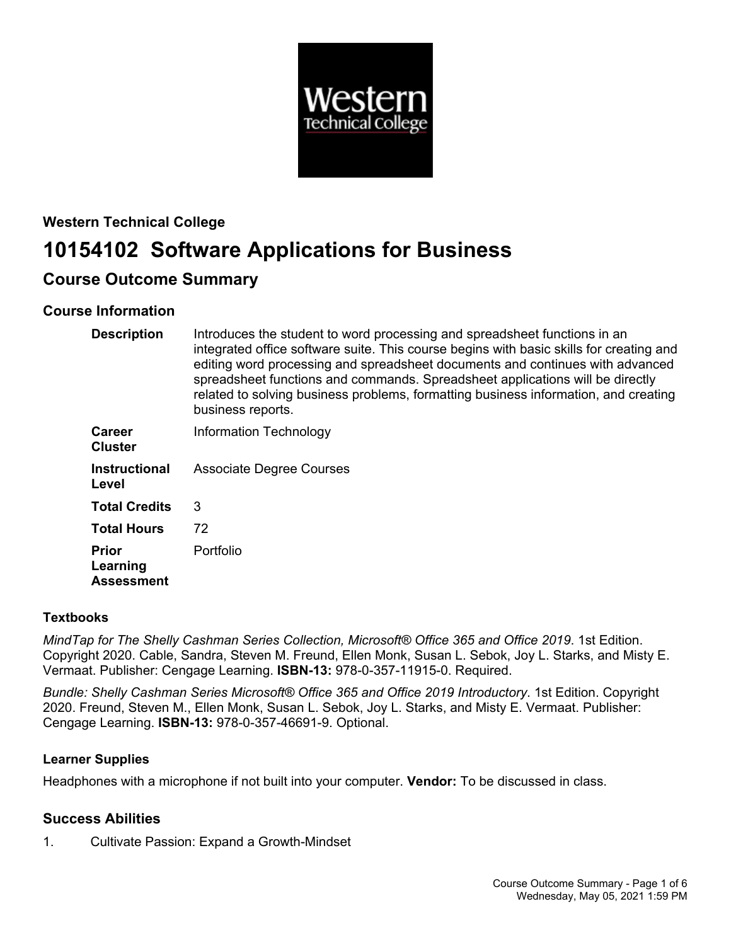

# **Western Technical College 10154102 Software Applications for Business**

# **Course Outcome Summary**

# **Course Information**

| <b>Description</b>                            | Introduces the student to word processing and spreadsheet functions in an<br>integrated office software suite. This course begins with basic skills for creating and<br>editing word processing and spreadsheet documents and continues with advanced<br>spreadsheet functions and commands. Spreadsheet applications will be directly<br>related to solving business problems, formatting business information, and creating<br>business reports. |
|-----------------------------------------------|----------------------------------------------------------------------------------------------------------------------------------------------------------------------------------------------------------------------------------------------------------------------------------------------------------------------------------------------------------------------------------------------------------------------------------------------------|
| <b>Career</b><br><b>Cluster</b>               | Information Technology                                                                                                                                                                                                                                                                                                                                                                                                                             |
| <b>Instructional</b><br>Level                 | <b>Associate Degree Courses</b>                                                                                                                                                                                                                                                                                                                                                                                                                    |
| <b>Total Credits</b>                          | 3                                                                                                                                                                                                                                                                                                                                                                                                                                                  |
| <b>Total Hours</b>                            | 72                                                                                                                                                                                                                                                                                                                                                                                                                                                 |
| <b>Prior</b><br>Learning<br><b>Assessment</b> | Portfolio                                                                                                                                                                                                                                                                                                                                                                                                                                          |

## **Textbooks**

*MindTap for The Shelly Cashman Series Collection, Microsoft® Office 365 and Office 2019*. 1st Edition. Copyright 2020. Cable, Sandra, Steven M. Freund, Ellen Monk, Susan L. Sebok, Joy L. Starks, and Misty E. Vermaat. Publisher: Cengage Learning. **ISBN-13:** 978-0-357-11915-0. Required.

*Bundle: Shelly Cashman Series Microsoft® Office 365 and Office 2019 Introductory*. 1st Edition. Copyright 2020. Freund, Steven M., Ellen Monk, Susan L. Sebok, Joy L. Starks, and Misty E. Vermaat. Publisher: Cengage Learning. **ISBN-13:** 978-0-357-46691-9. Optional.

## **Learner Supplies**

Headphones with a microphone if not built into your computer. **Vendor:** To be discussed in class.

# **Success Abilities**

1. Cultivate Passion: Expand a Growth-Mindset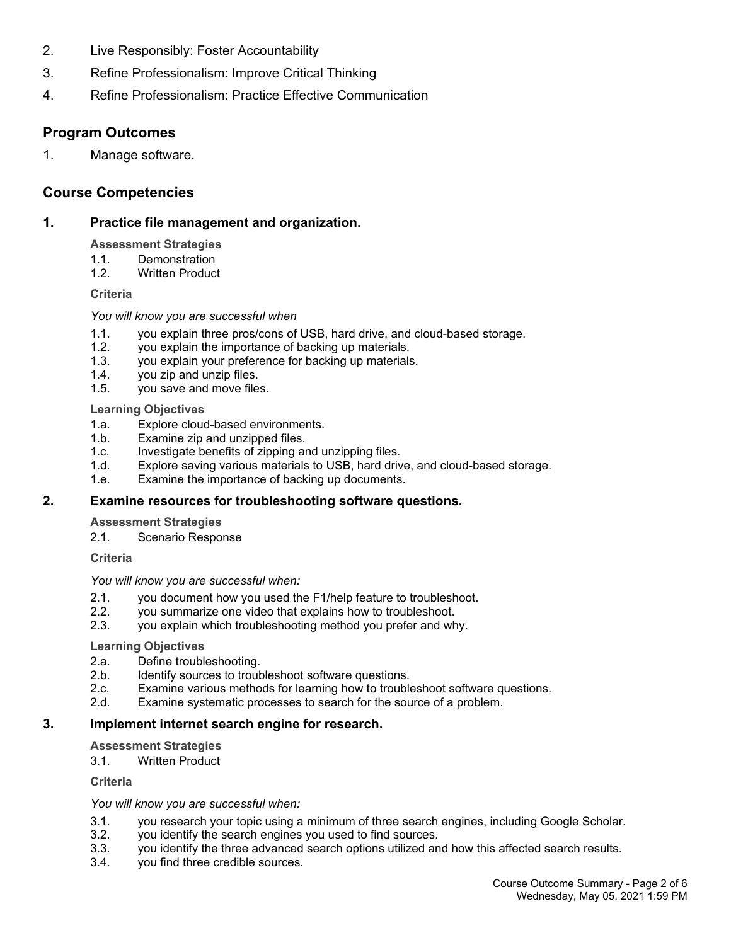- 2. Live Responsibly: Foster Accountability
- 3. Refine Professionalism: Improve Critical Thinking
- 4. Refine Professionalism: Practice Effective Communication

## **Program Outcomes**

1. Manage software.

## **Course Competencies**

## **1. Practice file management and organization.**

### **Assessment Strategies**

- 1.1. Demonstration
- 1.2. Written Product

#### **Criteria**

#### *You will know you are successful when*

- 1.1. you explain three pros/cons of USB, hard drive, and cloud-based storage.
- 1.2. you explain the importance of backing up materials.
- 1.3. you explain your preference for backing up materials.
- 1.4. you zip and unzip files.
- 1.5. you save and move files.

#### **Learning Objectives**

- 1.a. Explore cloud-based environments.
- 1.b. Examine zip and unzipped files.
- 1.c. Investigate benefits of zipping and unzipping files.
- 1.d. Explore saving various materials to USB, hard drive, and cloud-based storage.
- 1.e. Examine the importance of backing up documents.

## **2. Examine resources for troubleshooting software questions.**

#### **Assessment Strategies**

2.1. Scenario Response

#### **Criteria**

#### *You will know you are successful when:*

- 2.1. you document how you used the F1/help feature to troubleshoot.<br>2.2. vou summarize one video that explains how to troubleshoot.
- you summarize one video that explains how to troubleshoot.
- 2.3. you explain which troubleshooting method you prefer and why.

#### **Learning Objectives**

- 2.a. Define troubleshooting.
- 2.b. Identify sources to troubleshoot software questions.<br>2.c. Examine various methods for learning how to trouble
- Examine various methods for learning how to troubleshoot software questions.
- 2.d. Examine systematic processes to search for the source of a problem.

## **3. Implement internet search engine for research.**

#### **Assessment Strategies**

3.1. Written Product

## **Criteria**

#### *You will know you are successful when:*

- 3.1. you research your topic using a minimum of three search engines, including Google Scholar.
- 3.2. you identify the search engines you used to find sources.
- 3.3. you identify the three advanced search options utilized and how this affected search results.
- 3.4. you find three credible sources.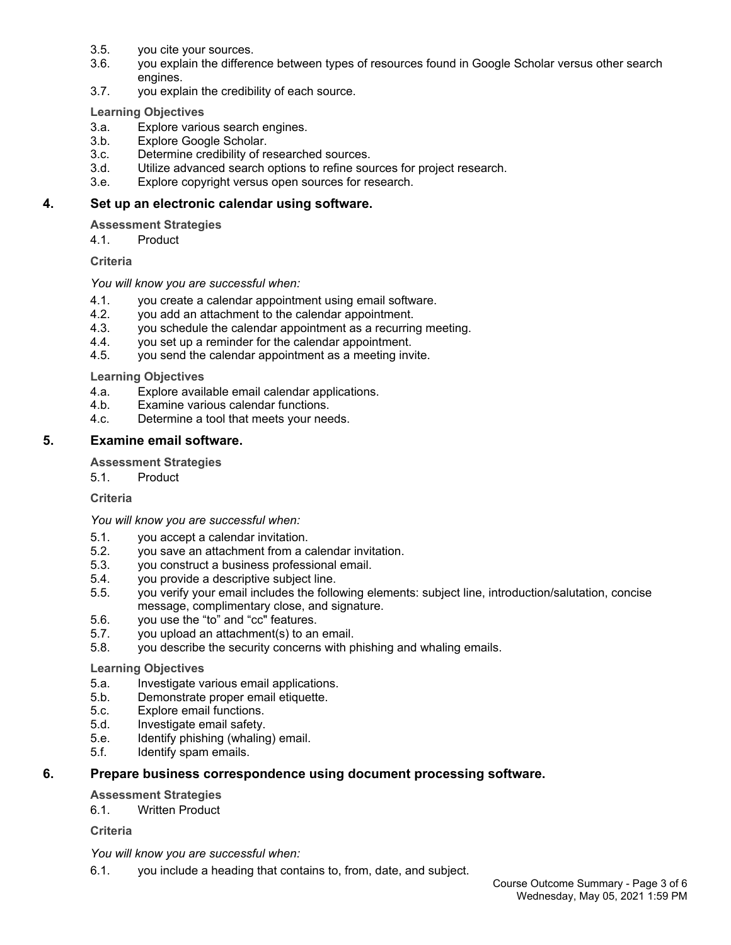- 3.5. you cite your sources.
- 3.6. you explain the difference between types of resources found in Google Scholar versus other search engines.
- 3.7. you explain the credibility of each source.

#### **Learning Objectives**

- 3.a. Explore various search engines.
- 3.b. Explore Google Scholar.
- 3.c. Determine credibility of researched sources.
- 3.d. Utilize advanced search options to refine sources for project research.
- 3.e. Explore copyright versus open sources for research.

## **4. Set up an electronic calendar using software.**

### **Assessment Strategies**

4.1. Product

### **Criteria**

### *You will know you are successful when:*

- 4.1. you create a calendar appointment using email software.<br>4.2. vou add an attachment to the calendar appointment.
- you add an attachment to the calendar appointment.
- 4.3. you schedule the calendar appointment as a recurring meeting.
- 4.4. you set up a reminder for the calendar appointment.
- 4.5. you send the calendar appointment as a meeting invite.

### **Learning Objectives**

- 4.a. Explore available email calendar applications.
- 4.b. Examine various calendar functions.
- 4.c. Determine a tool that meets your needs.

## **5. Examine email software.**

### **Assessment Strategies**

5.1. Product

#### **Criteria**

*You will know you are successful when:*

- 5.1. you accept a calendar invitation.
- 5.2. you save an attachment from a calendar invitation.
- 5.3. you construct a business professional email.
- 5.4. you provide a descriptive subject line.
- 5.5. you verify your email includes the following elements: subject line, introduction/salutation, concise message, complimentary close, and signature.
- 5.6. you use the "to" and "cc" features.
- 5.7. you upload an attachment(s) to an email.
- 5.8. you describe the security concerns with phishing and whaling emails.

#### **Learning Objectives**

- 5.a. Investigate various email applications.
- 5.b. Demonstrate proper email etiquette.
- 5.c. Explore email functions.
- 5.d. Investigate email safety.
- 5.e. Identify phishing (whaling) email.
- 5.f. Identify spam emails.

## **6. Prepare business correspondence using document processing software.**

#### **Assessment Strategies**

6.1. Written Product

## **Criteria**

# *You will know you are successful when:*

6.1. you include a heading that contains to, from, date, and subject.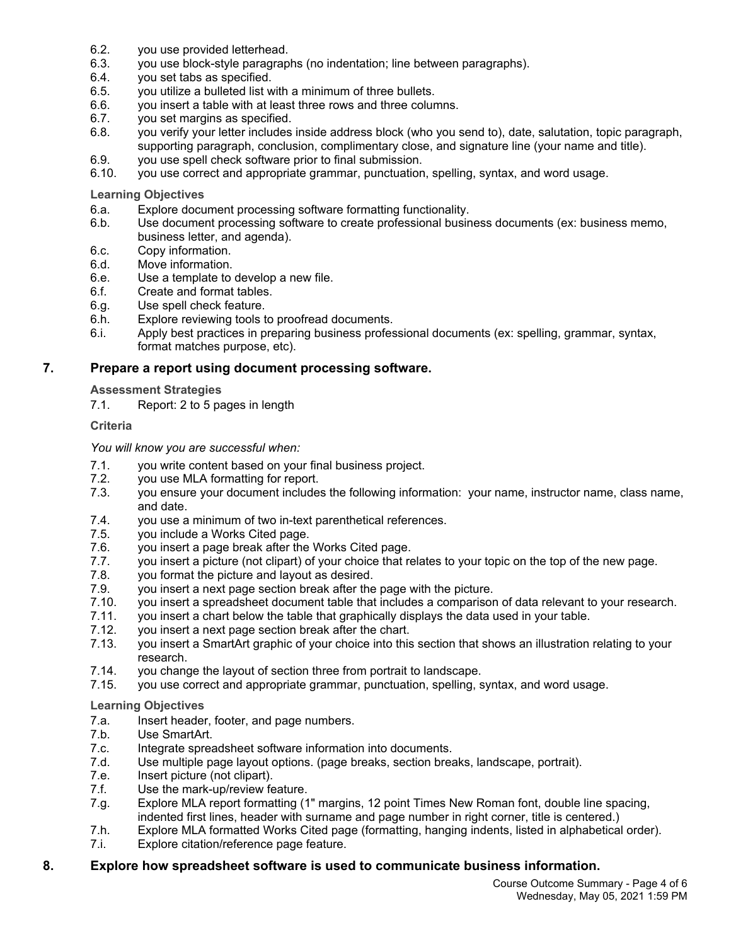- 6.2. you use provided letterhead.
- 6.3. you use block-style paragraphs (no indentation; line between paragraphs).
- 6.4. you set tabs as specified.
- 6.5. you utilize a bulleted list with a minimum of three bullets.
- 6.6. you insert a table with at least three rows and three columns.
- 6.7. you set margins as specified.
- 6.8. you verify your letter includes inside address block (who you send to), date, salutation, topic paragraph, supporting paragraph, conclusion, complimentary close, and signature line (your name and title).
- 6.9. you use spell check software prior to final submission.
- 6.10. you use correct and appropriate grammar, punctuation, spelling, syntax, and word usage.

#### **Learning Objectives**

- 6.a. Explore document processing software formatting functionality.
- 6.b. Use document processing software to create professional business documents (ex: business memo, business letter, and agenda).
- 6.c. Copy information.
- 6.d. Move information.
- 6.e. Use a template to develop a new file.
- 6.f. Create and format tables.
- 6.g. Use spell check feature.
- 6.h. Explore reviewing tools to proofread documents.
- 6.i. Apply best practices in preparing business professional documents (ex: spelling, grammar, syntax, format matches purpose, etc).

## **7. Prepare a report using document processing software.**

### **Assessment Strategies**

7.1. Report: 2 to 5 pages in length

### **Criteria**

### *You will know you are successful when:*

- 7.1. you write content based on your final business project.
- 7.2. you use MLA formatting for report.
- 7.3. you ensure your document includes the following information: your name, instructor name, class name, and date.
- 7.4. you use a minimum of two in-text parenthetical references.
- 7.5. you include a Works Cited page.
- 7.6. you insert a page break after the Works Cited page.
- 7.7. you insert a picture (not clipart) of your choice that relates to your topic on the top of the new page.
- 7.8. you format the picture and layout as desired.
- 7.9. you insert a next page section break after the page with the picture.
- 7.10. you insert a spreadsheet document table that includes a comparison of data relevant to your research.
- 7.11. you insert a chart below the table that graphically displays the data used in your table.
- 7.12. you insert a next page section break after the chart.<br>7.13. vou insert a SmartArt graphic of your choice into this
- you insert a SmartArt graphic of your choice into this section that shows an illustration relating to your research.
- 7.14. you change the layout of section three from portrait to landscape.
- 7.15. you use correct and appropriate grammar, punctuation, spelling, syntax, and word usage.

#### **Learning Objectives**

- 7.a. Insert header, footer, and page numbers.
- 7.b. Use SmartArt.
- 7.c. Integrate spreadsheet software information into documents.
- 7.d. Use multiple page layout options. (page breaks, section breaks, landscape, portrait).
- 7.e. Insert picture (not clipart).
- 7.f. Use the mark-up/review feature.
- 7.g. Explore MLA report formatting (1" margins, 12 point Times New Roman font, double line spacing, indented first lines, header with surname and page number in right corner, title is centered.)
- 7.h. Explore MLA formatted Works Cited page (formatting, hanging indents, listed in alphabetical order).
- 7.i. Explore citation/reference page feature.

## **8. Explore how spreadsheet software is used to communicate business information.**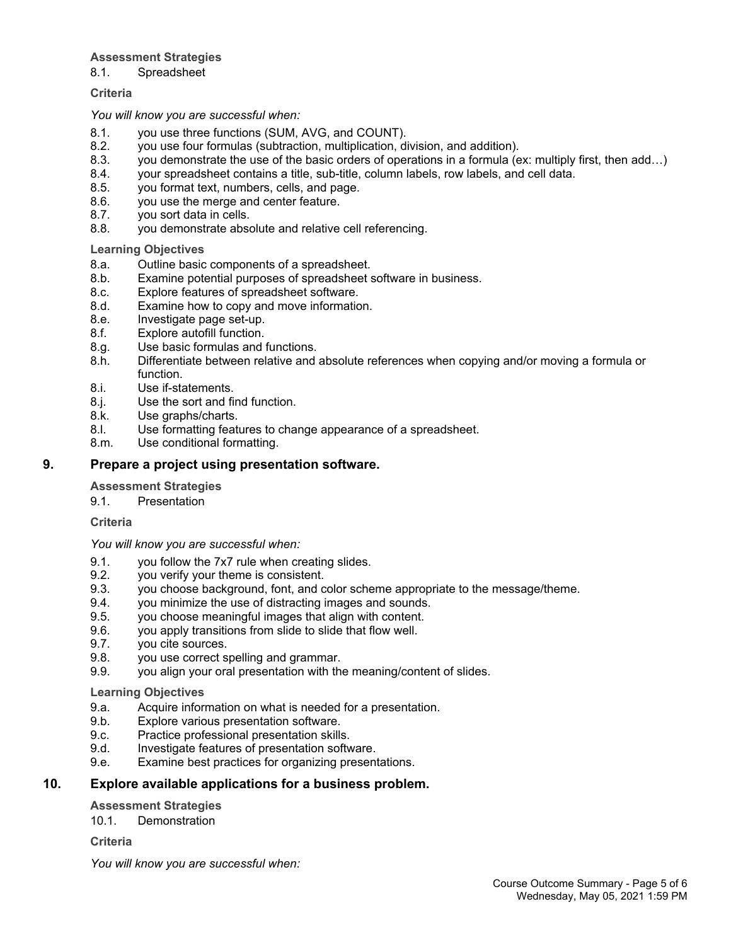## **Assessment Strategies**

8.1. Spreadsheet

## **Criteria**

*You will know you are successful when:*

- 8.1. you use three functions (SUM, AVG, and COUNT).
- 8.2. you use four formulas (subtraction, multiplication, division, and addition).
- 8.3. you demonstrate the use of the basic orders of operations in a formula (ex: multiply first, then add…)
- 8.4. your spreadsheet contains a title, sub-title, column labels, row labels, and cell data.
- 8.5. you format text, numbers, cells, and page.
- 8.6. you use the merge and center feature.
- 8.7. you sort data in cells.
- 8.8. you demonstrate absolute and relative cell referencing.

## **Learning Objectives**

- 8.a. Outline basic components of a spreadsheet.
- 8.b. Examine potential purposes of spreadsheet software in business.
- 8.c. Explore features of spreadsheet software.
- 8.d. Examine how to copy and move information.
- 8.e. Investigate page set-up.
- 8.f. Explore autofill function.
- 8.g. Use basic formulas and functions.
- 8.h. Differentiate between relative and absolute references when copying and/or moving a formula or function.
- 8.i. Use if-statements.
- 8.j. Use the sort and find function.
- 8.k. Use graphs/charts.
- 8.l. Use formatting features to change appearance of a spreadsheet.
- 8.m. Use conditional formatting.

## **9. Prepare a project using presentation software.**

## **Assessment Strategies**

9.1. Presentation

**Criteria**

*You will know you are successful when:*

- 9.1. you follow the 7x7 rule when creating slides.
- 9.2. you verify your theme is consistent.
- 9.3. you choose background, font, and color scheme appropriate to the message/theme.
- 9.4. you minimize the use of distracting images and sounds.
- 9.5. you choose meaningful images that align with content.
- 9.6. you apply transitions from slide to slide that flow well.
- 9.7. you cite sources.
- 9.8. you use correct spelling and grammar.
- 9.9. you align your oral presentation with the meaning/content of slides.

## **Learning Objectives**

- 9.a. Acquire information on what is needed for a presentation.
- 9.b. Explore various presentation software.
- 9.c. Practice professional presentation skills.<br>9.d. Investigate features of presentation softv
- Investigate features of presentation software.
- 9.e. Examine best practices for organizing presentations.

## **10. Explore available applications for a business problem.**

## **Assessment Strategies**

10.1. Demonstration

## **Criteria**

*You will know you are successful when:*